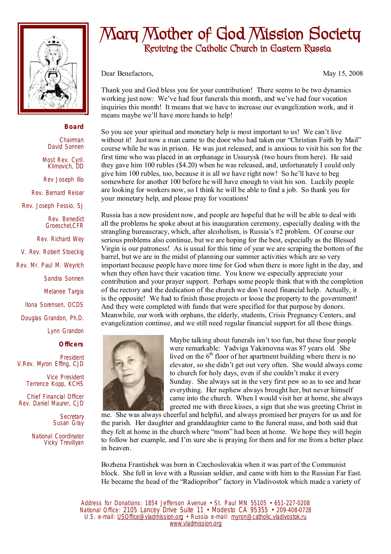

## **Board**

Chairman David Sonnen Most Rev. Cyril. Klimovich, DD Rev Joseph Illo Rev. Bernard Reiser Rev. Joseph Fessio, SJ Rev. Benedict Groeschel,CFR Rev. Richard Wey V. Rev. Robert Stoeckig Rev. Mr. Paul M. Weyrich Sandra Sonnen Melanee Targia

Ilona Sorensen, OCDS

Douglas Grandon, Ph.D.

Lynn Grandon

**Officers**

President V.Rev. Myron Effing, CJD

> Vice President Terrence Kopp, KCHS

Chief Financial Officer Rev. Daniel Maurer, CJD

> **Secretary** Susan Gray

National Coordinator Vicky Trevillyan

## **Mary Mother of God Mission Society Reviving the Catholic Church in Eastern Russia**

Dear Benefactors, May 15, 2008

Thank you and God bless you for your contribution! There seems to be two dynamics working just now: We've had four funerals this month, and we've had four vocation inquiries this month! It means that we have to increase our evangelization work, and it means maybe we'll have more hands to help!

So you see your spiritual and monetary help is most important to us! We can't live without it! Just now a man came to the door who had taken our "Christian Faith by Mail" course while he was in prison. He was just released, and is anxious to visit his son for the first time who was placed in an orphanage in Ussurysk (two hours from here). He said they gave him 100 rubles (\$4.20) when he was released, and, unfortunately I could only give him 100 rubles, too, because it is all we have right now! So he'll have to beg somewhere for another 100 before he will have enough to visit his son. Luckily people are looking for workers now, so I think he will be able to find a job. So thank you for your monetary help, and please pray for vocations!

Russia has a new president now, and people are hopeful that he will be able to deal with all the problems he spoke about at his inauguration ceremony, especially dealing with the strangling bureaucracy, which, after alcoholism, is Russia's #2 problem. Of course our serious problems also continue, but we are hoping for the best, especially as the Blessed Virgin is our patroness! As is usual for this time of year we are scraping the bottom of the barrel, but we are in the midst of planning our summer activities which are so very important because people have more time for God when there is more light in the day, and when they often have their vacation time. You know we especially appreciate your contribution and your prayer support. Perhaps some people think that with the completion of the rectory and the dedication of the church we don't need financial help. Actually, it is the opposite! We had to finish those projects or loose the property to the government! And they were completed with funds that were specified for that purpose by donors. Meanwhile, our work with orphans, the elderly, students, Crisis Pregnancy Centers, and evangelization continue, and we still need regular financial support for all these things.



Maybe talking about funerals isn't too fun, but these four people were remarkable: Yadviga Yakimovna was 87 years old. She lived on the  $6<sup>th</sup>$  floor of her apartment building where there is no elevator, so she didn't get out very often. She would always come to church for holy days, even if she couldn't make it every Sunday. She always sat in the very first pew so as to see and hear everything. Her nephew always brought her, but never himself came into the church. When I would visit her at home, she always greeted me with three kisses, a sign that she was greeting Christ in

me. She was always cheerful and helpful, and always promised her prayers for us and for the parish. Her daughter and granddaughter came to the funeral mass, and both said that they felt at home in the church where "mom" had been at home. We hope they will begin to follow her example, and I'm sure she is praying for them and for me from a better place in heaven.

Bozhena Frantishek was born in Czechoslovakia when it was part of the Communist block. She fell in love with a Russian soldier, and came with him to the Russian Far East. He became the head of the "Radiopribor" factory in Vladivostok which made a variety of

Address for Donations: 1854 Jefferson Avenue • St. Paul MN 55105 • 651-227-0208 National Office: 2105 Lancey Drive Suite 11 • Modesto CA 95355 • 209-408-0728 U.S. e-mail: [USOffice@vladmission.org](mailto:USOffice@vladmission.org) • Russia e-mail: [myron@catholic.vladivostok.ru](mailto:myron@catholic.vladivostok.ru) [www.vladmission.org](http://www.vladmission.org)